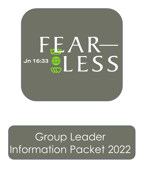

# Group Leader Information Packet 2022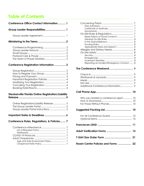## **Table of Contents**

| Conference Office Contact Information 1                                         |  |  |  |
|---------------------------------------------------------------------------------|--|--|--|
| Group Leader Responsibilities 1                                                 |  |  |  |
|                                                                                 |  |  |  |
|                                                                                 |  |  |  |
|                                                                                 |  |  |  |
| Conference Registration Information  3                                          |  |  |  |
| Important Registration Policies 4                                               |  |  |  |
| <b>Steubenville Florida Online Registration/Liability</b>                       |  |  |  |
| Online Registration/Liability Release  5<br>Group Leader Portal Instructions  5 |  |  |  |
| Important Dates & Deadlines  6                                                  |  |  |  |
| Conference Rules, Regulations, & Policies7                                      |  |  |  |
| $\overline{7}$                                                                  |  |  |  |

| Appropriate Dress and Speech 8            |    |
|-------------------------------------------|----|
|                                           |    |
|                                           |    |
|                                           |    |
|                                           |    |
|                                           |    |
| Reporting an Incident/Emergency Contact 8 |    |
|                                           |    |
|                                           |    |
|                                           |    |
|                                           |    |
|                                           |    |
|                                           |    |
|                                           |    |
|                                           |    |
|                                           |    |
|                                           | 10 |
|                                           |    |
| Why we created a conference app? 10       |    |
|                                           |    |
|                                           |    |
|                                           |    |
|                                           |    |
|                                           |    |
|                                           |    |
|                                           |    |
|                                           |    |
|                                           |    |
|                                           |    |
|                                           | 11 |
|                                           |    |
| Adult Verification Forms  12              |    |
|                                           |    |
|                                           |    |
|                                           |    |
| Rosen Centre Policies and Forms  22       |    |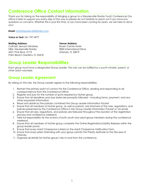### **Conference Office Contact Information**

Thank you for taking on the responsibility of bringing a group to a Steubenville Florida Youth Conference! Our office is here to support you every step of the way so please do not hesitate to reach out if you have any questions or concerns. Whether this is your first time, or you have been coming for years, we are here to serve you!

**Email:** info@steubenvilleflorida.com

**Voice or Text:** 561-797-4977

**Mailing Address: Venue Address:** Catholic Servant Ministries **Rosen Centre Hotel** DBA: Steubenville Florida 9840 International Drive 4521 PGA Blvd. #173 Orlando, FL 32819 Palm Beach Gardens, FL 33418

### **Group Leader Responsibilities**

*Each group must have a designated Group Leader. This role can be fulfilled by a youth minister, parent, or other adult volunteer.* 

### **Group Leader Agreement**

By taking on this role, the Group Leader agrees to the following responsibilities:

- 1. Remain the primary point of contact for the Conference Office, reading and responding to all correspondence from the Conference Office
- 2. Register and pay for the number of spots required by his/her group.
- 3. Ensure that all deadlines and due dates are promptly followed including forms, payment, and any other requested information.
- 4. Read and abide by the policies contained the Group Leader Information Packet
- 5. Ensure that all members of his/her group, as well as parents, are informed of the rules, regulations, and policies presented by the Conference Office in the Group Leader Information Packet or via email.
- 6. Ensure that all rules, regulations, and policies are followed throughout the duration of the registration process and conference weekend.
- 7. Take full responsibility for the actions of both youth and adult group members during the conference weekend.
- 8. Ensure that all members of his/her group complete the Online Registration/Liability Release within the group leader portal.
- 9. Ensure that every Adult Chaperone is listed on the Adult Chaperone Verification Form.
- 10. Ensure that every priest attending with your group submits the Priestly Aptitude to the Diocese of Orlando.
- 11. Organize all details for his/her group's trip to and from the conference.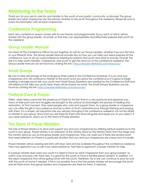### **Ministering to the Teens**

*Thank you for your yes to care for and minister to the youth of your parish, community, or diocese! The group leader and adult chaperones are the primary ministers to the youth throughout the weekend. Please be sure to share this information with all adult chaperones.*

### **Conference Programming**

Each new conference season comes with its own theme and programmatic focus, each of which will be shared with the group leader, via email, so that they can appropriately and effectively prepare their youth for the weekend.

### **Group Leader Manual**

Our team at the Conference Office has put together an aid for our Group Leaders, whether it be your first time or your fifteenth time. This Group Leader Manual includes tips on how you can help your teens prepare for the conference, how to set up a preconference meeting for parents and youth and what to include. Overall, this aid is to help youth ministers, chaperones, and youth to get the most out of the conference weekend. The Group Leader Manual can be found by clicking this link: https://steubenvilleflorida.com/resources/

### **Small Groups**

Be sure to take advantage of the small group times noted in the Conference Schedule. It is you and your chaperones who will continue to minister to the youth once you leave the conference so it is good to begin building a stronger bond with your youth now! Small Group Questions are created by the Conference Staff and will reference the talks your youth hear; these will be shared via email. The Small Groups Questions can be found by clicking this link: https://steubenvilleflorida.com/resources/

### **Pastoral Care & Prayer**

Often, when teens come into the presence of Christ for the first time in a very profound and personal way, many of their past hurts and struggles are brought to the surface as God begins the process of healing and restoration. At that moment, they need people who care and support them. As a group leader or chaperone, you can offer the gift of your presence and be a mirror of God's restorative love through listening and praying with them. It is a simple, yet important role you will play throughout the conference weekend. Do not be afraid to minister to your group. Show that you are there for them and God will guide and equip you as you need it. If you need assistance, reach out to the team of Prayer Ministers.

### **The Team of Prayer Ministers**

The role of Prayer Ministry is to serve and support you and your chaperones by offering spiritual assistance to the youth in your group. Prayer Ministry is an extension of the ministry done by the Ministry Team from the stage and the ministry done by you as the group leader and chaperones. They can assist you if there are several youth that need attention or if there is a particular situation that you and your chaperones are unsure how to handle.

Prayer ministers will be wearing red shirts with blue vests and be available throughout the conference weekend. They may approach you to ask if you need assistance. Feel free to approach a prayer minister for help.

If a prayer minister does assist your youth it is ideal to have an adult chaperone from your group present, to watch over and pray with them also. It is good for the youth to have a familiar person present. In addition, it is the adult chaperone that will be going home with the youth, therefore, he or she can continue to pray for and with the youth at home if needed. If this is not possible, know that the prayer minister will encourage the youth and let them know that group leaders and chaperones are there for them, if need be.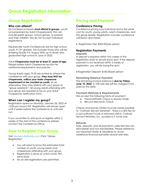### **Group Registration**

#### **Who can attend?**

All Conference Guests **must attend in groups** - youth accompanied by Adult Chaperone(s); this can include parish groups, school groups, or parents and their children. We do not accept individual registrations.

Steubenville Youth Conferences are for high school youth: 9-12<sup>th</sup> graders. This includes those who will be entering Grade 9 in August 2022 up to those who graduated high school in June of 2022.

Adult **Chaperones must be at least 21 years of age.**  Please review Adult Chaperones section for additional requirements and policies.

Young Adults ages 19-20 are invited to attend the conference with your group. **They may NOT be chaperones, suffice your male chaperone requirement or be counted as youth.** As an alternative, they may attend with your group as "group assistants". All young adults attending with your group are required to be on your Adult Chaperone Verification Form.

#### **When can I register my group?**

Registration opens on Monday, January 26, 2022 at 12:00 pm (noon) EST. Registration will remain open until 3 weeks before the conference or until sold out.

If you would like to add spots or register within 2 weeks of the start of the conference, please contact the Conference Office.

### **How to Register Your Group**

Visit steubenvilleflorida.com Click "Group Registration"

- You will need to know the estimated total number of youth, young adults and chaperones attending with your group.
- Registration is done on a first-come, firstserve basis.
- No on-site registrations are permitted.

### **Pricing and Payment**

#### **Conference Pricing**

Conference pricing is by individual and is the same cost for youth, young adults, adult chaperones, and the group leader. Registration includes conference admission and meals.

• Registration Fee: \$205.00/per person

#### **Registration Payments**

#### **Deposits**

A deposit is required within two weeks of the registration date to secure each spot. If the deposit payment is not received within 2 weeks of registration, you will risk losing the spot.

• Registration Deposit: \$100.00/per person

#### **Remaining Balance Payment**  The remaining invoice balance is **due by Friday, June 10, 2022.** A 10% late fee will be charged if not paid by this date.

#### **Payment Methods & Requirements**

We accept the following forms of payment:

- Personal/Parish Check or Money Order
- Bill.com Electronic Check

Checks and Money Orders must be made payable to "Catholic Servant Ministries". *There is a \$55 fee for a non-sufficient funds or returned check. Catholic Servant Ministries, Inc. accepts U.S. funds only.* 

#### **Refunds**

Fees, deposits, and all payments collected are nonrefundable and non-transferable. Please reference our Important Dates & Deadlines to avoid additional financial penalties and/or late fees.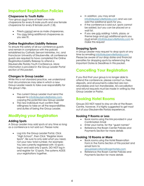### **Important Registration Policies**

#### **Chaperone to Youth Ratio**

Your group must have at least one male chaperone for every 8 male youth and one female chaperone for every 8 female youth (1:8).

- Priests cannot serve as male chaperones.
- You may bring additional chaperones as you see fit.

#### **Online Registration/Liability Release**

To ensure the safety of all our conference guests and remain in compliance with the policies established by Catholic Servant Ministries, Inc. and Franciscan University of Steubenville, all conference guests are required to have completed the Online Registration/Liability Release to attend a Steubenville Florida Youth Conference. *More information is provided in the Group Leader Portal section of this packet.* 

#### **Changes in Group Leader**

While this is not standard practice, we understand that circumstances may arise in which a new Group Leader needs to take over responsibility for the group's trip.

- The current Group Leader must send the request to info@steubenvilleflorida.com, copying the potential new Group Leader
- The new individual must confirm their willingness to take on all the responsibilities and duties of being the Group Leader.

### **Modifying your Registration**

#### **Adding Spots**

A Group Leader may add spots at any time so long as a conference is not sold out. Please note:

• Log into the Group Leader Portal, Click "High School", then Click "Register More Spots". Be sure to only add what you need, not your new total number. For example: You are currently registered with 10 spots log in and add only 2 spots. DO NOT log in and register for 12 spots. The systems ADDS your registrations together.

- In addition, you may email info@steubenvilleflorida.com and we can add the additional spots for you.
- If the conference is sold out, spots cannot be added, but you can be placed on a wait list.
- If you are only adding: t-shirts, pizzas, or theme bags and not additional spots you must email info@steubenvilleflorida.com to make this request

#### **Dropping Spots**

A Group Leader may request to drop spots at any time by emailing info@steubenvilleflorida.com. Please be aware of our drop dates and financial penalties for dropping spots by referencing the Important Dates & Deadlines in this packet.

### **Cancelling Your Registration**

If you find that your group is no longer able to attend the conference, please contact us. Fees, deposits, and all payments collected are nonrefundable and non-transferable. All cancellation and refund requests must be made in writing by the Group Leader or Pastor.

### **Booking Hotel Rooms**

Groups DO NOT need to stay on-site at the Rosen Centre, however, it is highly suggested to get most out of your Steubenville Florida experience.

#### **Booking 9 Rooms or Less**

- Book rooms using the link provided in your Confirmation Email
- Enter your name, for the "guest names"
- Reference the Rosen Center Policies and Payments Section for more details

#### **Booking 10 Rooms or More**

• Book rooms using the Hotel Reservation Form in the Forms Section of this packet and email form to

groupreservations@rosenhotels.com

• Reference the Rosen Center Policies and Payments Section for more details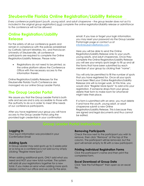### **Steubenville Florida Online Registration/Liability Release**

*Every conference participant (youth, young adult, and adult chaperone – the group leader does not as it is included in the original group registration) must complete the online registration/liability release or admittance to the conference will not be allowed.*

### **Online Registration/Liability Release**

For the safety of all our conference guests and remain in compliance with the policies established by Catholic Servant Ministries, Inc. and Franciscan University of Steubenville, all conference participants are required to complete the Online Registration/Liability Release. Please note:

• Registrations do not need to be printed, as the online platform allows the Conference Office with the necessary access to the information therein.

Online Registration/Liability Releases for the Steubenville Florida Youth Conference are managed via our online Group Leader Portal.

### **The Group Leader Portal**

We assure you that the Group Leader Portal is both safe and secure and is only accessible to those with the authority to do so in order to meet 5the needs of our conference participants.

After you have registered your group you will have access to the Group Leader Portal using the provided login credentials in your confirmation

email. If you lose or forget your login information, you may reset your password via the Group Leader Portal login page or contact us at info@steubenvilleflorida.com.

Here you will be able to send the Online Registration/Liability Release Links to your youth, young adults, and adult chaperones. Once they complete the Online Registration/Liability Release you will see your empty spots begin to fill up and all the forms that have been submitted by each member of your group by clicking their "name".

You will only be permitted to fill the number of spots that you have registered for. Once all your spots have been filled your Online Registration/Liability Release Link will no longer work. At this time, you would click "Register More Spots" to add onto your registration. If someone drops from your group, delete their form to make room for whomever might take their place.

If a form is submitted with an error, you must delete it and have the youth, young adult, or adult chaperone submit a new Online Registration/Liability Release. This is because they are signed and legal documents and thus cannot be edited.

#### **Logging In**

Your log-in information was provided in your Confirmation Email

#### **Adding Spots**

A Group Leader may add spots up to 2 weeks prior or so long as a conference is not sold out by simply clicking "Register More Spots"

When adding additional spots, ONLY add what you need and NOT your new total number. The system will add all your registrations together for a new total. If you make an error when adding more spots please contact our office and we can fix the error.

#### **Removing Participants**

Check the box next to the participant you wish to remove, then click "Remove" at the top of the column. The participant will be removed, but the spot will remain empty to fill with a new participant.

#### **Printing Individual Registration Forms**

Click the participant's name and then print the completed form.

#### **Excel Download of Group Data**

Click "See the Full Report" then open as an excel file.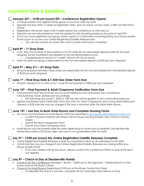### **Important Date & Deadlines**

#### **January 26th – 12:00 pm (noon) EST – Conference Registration Opens!**

- A Group Leader may register his/her group at any time after this date
- Deposits are due within 2 weeks of registration date, sent via check, money order, or Bill.com Electronic Check
- Registration will remain open until 2 weeks before the conference or until sold out
- Deposits are non-refundable but may be applied to the remaining balance due prior to April 9th
- Once you have registered your group online, expect a confirmation email regarding your Group Leader Portal Log-In to access your Online Registration/Liability Release Links
	- o You will also receive an email with a link to book hotel rooms, if needed

#### **April 8th – 1st Drop Date**

- If you drop the number of spots before or on this date all non-refundable deposits paid for the spots dropped will be transferred and applied to the remaining balance due
	- o If dropping spots results in a "credit" refunds will not be issued
- After this date the group is responsible for the non-refundable deposit of \$100 per spot dropped

#### **April 9th – May 31st – 2nd Drop Date**

• All spots dropped between these dates are responsible for the non-refundable/non-transferable deposit of \$100 per spots dropped

#### **June 1st – Final Drop Date & T-Shirt Size Order Form Due**

All spots dropped on or after June 1st owe the full payment of \$205 per spot dropped

#### **June 10th – Final Payment & Adult Chaperone Verification Form Due**

- Final payment must be received (not just postmarked) by end of business day. If paying by Check/Money Order, please plan accordingly
	- o The following day (June 2, 2022) a 10% late fee will be applied to any outstanding balances.
- Signed and Sealed Adult Verification Form Due with ALL Adult Chaperones and Young Adults listed and cleared; a \$150 late fee may be charged if this form is received after the date listed above

#### **June 14th – Last Day to Book Hotel Rooms and Complete Housing Forms**

- ALL Forms and Payments for Hotel Rooms MUST be submitted to groupreservations@rosenhotels.com
	- o Confirm Payment Method with Rosen Centre Group Housing (Credit Card, Check or Money Order)
	- o Submit the Room Assignment Form
	- o Submit your Parish Tax Exempt Form
- Hotel Rooms may be booked after this date depending on hotel room availability, the Steubenville Florida Room Rate of \$152 per night, per room is not guaranteed after this date

#### **July 5th – 12:00 pm (noon) ALL Online Registration/Liability Releases Complete**

- Online Registration/Liability Releases should be completed online for all attendees by this date
- A \$150 late fee may be charged if any Online Registration/Liability Releases are missing within your Group Leader Portal
	- o If you are unable to fill all your spots, please contact the Conference Office to ensure this fee is not applied

#### **July 8th – Check-in Day at Steubenville Florida**

- Check-In for the Conference: Between 1:30 pm 5:30m pm in the Signature 1 Meeting Room on the Lower Level of the Rosen Centre
- Check-In for Hotel Rooms: Beginning at 3:00 pm at the Rosen Centre Front Desk
	- o To expedite the check-in process, complete all the hotel steps listed above on-time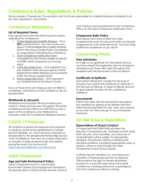### **Conference Rules, Regulations, & Policies**

*Group Leaders, Chaperones, Young Adults, and Youth are responsible for understanding and adhering to all the rules, regulations, and policies.*

### **Conference Attendance**

#### **List of Required Forms**

Every group must have the following forms before attending the conference.

- 1. Online Registration/Liability Release This is **NOT** a physical form. You can access your group's Online Registration/Liability Release Links in the Group Leader Portal. Completed by every person attending the conference.
- 2. Adult Chaperone Verification Form Completed by the Group Leader on behalf of EVERY Adult Chaperone and Young Adult.
- 3. **I-Shirt Size Order Form** Only required if you pre-ordered t-shirts and your groups Online Registration/Liability Release are incomplete within the Group Leader Portal.
- 4. Room Assignment Form Only required if you booked room at the Rosen Centre.

If any of these forms are missing or are not filled to completion, attendance to the conference will not be permitted.

#### **Wristbands & Lanyards**

Wristbands and lanyards will be provided upon check in; these must be worn throughout the entire conference as they inform our staff that you are a guest of the conference. See Wristbands & Lanyards under the Conference Weekend section.

### **COVID-19 Protocols**

All conference guests are expected and required to abide by all protocols established by Catholic Servant Ministries, Inc. and Franciscan University of Steubenville for the Steubenville Florida High School Youth Conference. The most up to date information on the plan to keep everyone safe and healthy during the event can be found at: https://steubenvilleflorida.com/resources/

### **Adult Chaperones**

#### **Age and Safe Environment Policy**

Adult Chaperones must 21+ and be Safe Environment trained and background checked to the specifications of his/her home diocese. Proof of such training must be presented to the Conference Office via the Adult Chaperone Verification Form.

#### **Chaperone Ratio Policy**

Each group must have at least one male chaperone for every 8 male youth AND one female chaperone for every 8 female youth. You may bring additional chaperones as you see fit.

### **Concerning Priests**

#### **Free Admission**

As a sign of our gratitude for their priestly service, we have waived the registration fee for all priests in attendance for those who assist throughout the weekend with the Sacrament of Reconciliation.

#### **Certificate of Aptitude**

Each priest visiting from outside the Diocese of Orlando must submit the Certificate of Aptitude to the Diocese of Orlando, in order for Bishop Noonan to grant priestly faculties for the conference weekend.

#### **Sacraments**

Priests may assist with the Sacraments throughout the weekend by signing up for desired time slots. Priest should bring their own alb, stole, and cassock, as we may not have enough to accommodate everyone.

### **On-Site Rules & Regulations**

#### **Expectations of Good Conduct**

It is expected that EVERYONE will follow the direction of all posted rules, Conference Staff, Hotel Staff, Security, and Volunteers. Any instances of insubordination will be subject to appropriate discipline. The primary method of dealing with discipline problems, including inappropriate dress or speech, will be to work through the Adult Chaperones and/or Group Leader.

Catholic Servant Ministries, Inc. and Franciscan University of Steubenville and the Conference Office reserve the right to handle disciplinary situations in a way that best serves the overall conference, including removal of a guest/group from the conference without warning.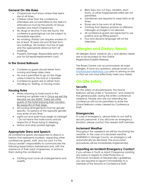#### **General On-Site Rules**

- Chaperones must know where their teens are at all times.
- Children other than the conference attendees are not permitted as the teens in attendance must be the priority of Group Leaders and Adult Chaperones.
- No drugs or alcohol. If any are found, the conference guest/group can be subject to immediate expulsion.
- No smoking. Florida Law requires smokers to be at least 18 years old and 30 feet from any buildings. All smokers must be of age and the appropriate distance from all buildings.
- Property Damage. Responsible party will pay for full repair/replacement costs.

#### **In the Grand Ballroom**

- Conference guests should refrain from running and keep aisles clear.
- No one is permitted to go on the stage unless invited by the Host or a Speaker.
- Conference guests are to refrain from standing on, folding, or moving chairs.

#### **Housing Rules**

- When returning to hotel rooms in the evening our golden rule is: Once we exit the elevator we are SILENT. There are other guests of the hotel enjoying their vacation. Be respectful of their sleep.
- All housing arrangements must be gender specific; no persons of the opposite gender may enter at any time.
- Lights out and quiet hours begin at midnight – Do not leave the hotel rooms and be respectful of those trying to sleeping.
- Notice and obey posted signage.

#### **Appropriate Dress and Speech**

All conference guests are expected to dress in a fashion that represents modesty, respecting other conferences guests, staff, and our Lord. It is the Group Leader's responsibility to communicate the following expectations beforehand and, with the assistance of their adult chaperones, to enforce them during the conference.

• Clothing must cover all undergarments and midriffs.

- Bikini tops, low cut tops, miniskirts, short shorts, or other inappropriate attire are not permitted.
- Gentlemen are required to wear shirts at all times.
- Shoes are to be worn at all times.
- Clothing that displays profane or offensive messages or images is not allowed.
- All conference guests are expected to use positive and up-lifting speech.
- Foul and abusive language will not be tolerated.

### **Allergies and Dietary Needs**

All allergies (food, medical, etc.) and dietary needs are to be recorded on the Online Registration/Liability Release.

The Rosen Centre can accommodate all major allergies. If have any questions, please email us at info@steubenvilleflorida.com prior to arriving on-site so that we can most effectively meet your needs.

### **On-Site Safety**

#### **Security**

For the safety of all participants, the Grand Ballroom will be under a "lockdown" and closed to the general public during the entire conference weekend. People who are not attending the conference will not be permitted to enter the Grand Ballroom unless cleared by Conference Staff.

#### **Emergencies**

In case of emergency, always listen to our staff & security personnel. If you discover an emergency situation, please contact the nearest staff member.

#### **Inclement Weather**

Throughout the weekend we will be monitoring the weather. In the case of a declared weather WARNING in Orange County, an emergency will automatically be declared. The evacuation procedures will be immediately implemented.

#### **Reporting an Incident/Emergency Contact**

If you witness a Youth or Adult Chaperone violating any policy in regard to Child Protection or Franciscan University of Steubenville's guidelines, you are required to report it immediately to a member of the Security or Conference Staff.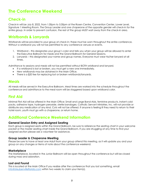### **Check-in**

Check-in will be July 8, 2022, from 1:30pm to 5:30pm at the Rosen Centre, Convention Center, Lower Level, Signature 1 Meeting Room. The Group Leader and one chaperone of the opposite gender will check-in for the entire group. In order to prevent confusion, the rest of the group MUST wait away from the check-in area.

### **Wristbands & Lanyards**

Wristbands will be provided to your group at check in; these must be worn throughout the entire conference. Without a wristband you will not be permitted to any conference venues or events.

- 1. Wristband this designates your group's color and tells you when your group will be allowed to enter the Executive Ballroom for meals and the Grand Ballroom for General Sessions.
- 2. Lanyards this designated your name and group names. Everyone must wear his/her lanyard at all times.

Admittance to sessions and meals will not be permitted without BOTH wristband and lanyard.

- If a wristband is lost or broken, you must get a new one immediately.
- New wristbands may be obtained in the Main Office.
- There is a \$20 fee for replacing lost or broken wristbands/lanyards.

### **Meals**

All meals will be served in the Executive Ballroom. Meal times are worked into the schedule throughout the conference and admittance to the meal room will be staggered based upon wristband color.

### **First Aid**

Minimal First Aid will be offered in the Main Office: Small and Large Band-Aids, feminine products, instant cold packs, adhesive tape, hydrogen peroxide, sterile bandages. Catholic Servant Ministries, Inc. will not provide or distribute any medication of any kind. Cots will not be offered. If anyone is feeling ill they need to return to their hotel room, youth must go with a chaperone, or return home.

### **Additional Conference Weekend Information**

#### **General Session Entry and Assigned Seating**

Each group is assigned seats within the Grand Ballroom, be sure to reference the seating chart in your welcome packet or the master seating chart inside the Grand Ballroom. If you are struggling at any time to find your assigned section please ask a volunteer for assistance.

#### **Group Leader & Chaperone Meeting**

Please be sure to have at least one Adult from your group attend this meeting, as it will update you and your group on any changes or items of note about the conference weekend.

#### **Marketplace**

The Marketplace, located in the Junior Ballroom will be open throughout the conference but will be closed during mass and adoration.

#### **Lost and Found**

This is located at the Main Office If you realize after the conference that you lost something, email info@steubenvilleflorida.com within two weeks to claim your item(s).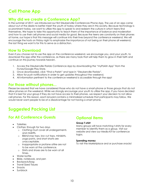### **Why did we create a Conference App?**

In the summer of 2017, we introduced our first Steubenville Conferences Phone App. The use of an app came about out of the desire to better meet the youth of today where they are in this society. Because technology is so prominent today, we want to utilize this app to speak to and redeem the culture in which teens find themselves. We hope to take this opportunity to teach them of the importance of balance and moderation and how to use their cell phones and social media for good. Because the teens are constantly on their phones at home, our hope is that this message will continue into their lives beyond the conference weekend. We will encourage the hosts on Friday night to emphasize the importance of not being on their phone all weekend, the last thing we want is for this to serve as a distraction.

### **How to Download**

Even if you choose not to use the app on the conference weekend, we encourage you, and your youth, to download the app after the conference, as there are many tools that will help them to grow in their faith and continue on this journey towards heaven.

- 1. Access the Steubenville Florida Conference App by downloading the "myParish App" from the iTunes/Google Play Store.
- 2. Once downloaded, click "Find a Parish" and type in "Steubenville Florida".
- 3. Allow for push notifications in order to get updates throughout the weekend.
- 4. All information pertinent to the conference weekend is accessible through the app!

### **For those without phones...**

Please be assured that we have considered those who do not have a smart-phone or those groups that do not allow phones on the weekend. While we strongly encourage your youth to utilize the app, if you have decided that it is best for your group if they do not have access to their phones, we respect your decision to not allow cell phones. For this reason, each lanyard contains a minimalized schedule that participants may follow. We would never want people to be at a disadvantage for not having a smart phone.

### **Suggested Packing List**

### **For All Conference Guests**

- **Toiletries** 
	- Clothes: Enough for two days
		- o Clothing must cover all undergarments and midriffs.
		- o Bikini/crop tops, low cut tops, miniskirts, yoga pants, and short shorts are unacceptable.
		- o Inappropriate or profane attire are not to be worn at the conference.
		- o Shirts and shoes are to be worn at all times.
- Water bottle
- Bible, notebook, and pen
- Backpack/bag
- Travel Sized Tissues
- Snacks
- **Sunblock**

### **Optional Items**

#### **Group T-shirt**

Many groups will have matching t-shirts for every member to identify them as a group. Visit our website and view our Media Kit for conference logos.

#### **Spending money**

To visit the Marketplace and or purchase snacks!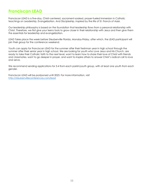### **Franciscan LEAD**

Franciscan LEAD is a five-day, Christ-centered, sacrament-soaked, prayer-fueled immersion in Catholic teachings on Leadership, Evangelization, And Discipleship, inspired by the life of St. Francis of Assisi.

Our leadership philosophy is based on the foundation that leadership flows from a personal relationship with Christ. Therefore, we first give your teens tools to grow closer in their relationship with Jesus and then give them the essentials for leadership and evangelization.

LEAD Takes place the week before Steubenville Florida, Monday-Friday, after which, the LEAD participant will join their group for the conference weekend.

Youth can apply for Franciscan LEAD for the summer after their freshman year in high school through the summer after their senior year in high school. We are looking for youth who Love Jesus and His Church, are ready to take their Catholic faith to the next level, want to learn how to share their love of Christ with friends and classmates, want to go deeper in prayer, and want to inspire others to answer Christ's radical call to love and serve.

We recommend sending applications for 3-4 from each parish/youth group, with at least one youth from each gender.

Franciscan LEAD will be postponed until 2023. For more information, visit http://steubenvilleconferences.com/lead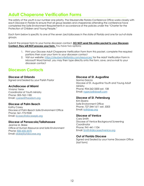### **Adult Chaperone Verification Forms**

The safety of the youth is our number one priority. The Steubenville Florida Conference Office works closely with each Diocese in Florida to ensure that all group leaders and chaperones attending the conference have completed the Safe Environment Requirements in accordance of the policies under the "Charter for the Protection of Children and Young People."

Each form below is specific to one of the seven (arch)dioceses in the state of Florida and one for out-of-state groups.

Submit the proper form to your home diocesan contact. **DO NOT send this entire packet to your Diocesan Contact, they will NOT process your form.** You have two options:

- 1. Print your Diocese Adult Chaperone Verification Form from this packet, complete the required portions then scan your form to your diocesan contact
- 2. Visit our website: https://steubenvilleflorida.com/resources/ for the Adult Verification Form in Microsoft Word format, you may then type directly onto the form, save, and e-mail to your diocesan contact

### **Diocesan Contacts**

#### **Diocese of Orlando**

Signed and Sealed by your Parish Pastor

#### **Archdiocese of Miami**

Viviana Yerex Coordinator of Youth Ministry Phone: 305-762-1185 Email: vyerex@theadom.org

#### **Diocese of Palm Beach**

Kathy Casey Diocese of Palm Beach Safe Environment Office Phone: 561-775-9530 Email: kcasey@diocesepb.org

#### **Diocese of Pensacola/Tallahassee**

Jeanne M. Blake Office of Human Resource and Safe Environment Phone: 850-435-3570 Email: blakej@ptdiocese.org

#### **Diocese of St. Augustine**

Norma Garcia Diocese of St. Augustine Youth and Young Adult Ministry Phone: 904-262-3200 ext. 108 Email: ngarcia@dosafl.com

#### **Diocese of St. Petersburg**

Kim Sbarra Safe Environment Office Phone: 727-344-1611 ext. 5303 Email: ks@dosp.org

#### **Diocese of Venice**

Cara Smith Diocese of Venice Background Screening Coordinator Phone: 941-441-1104 Email: Smith@dioceseofvenice.org

#### **Out of Florida Diocese**

Signed and Sealed by your home Diocesan Office (last form)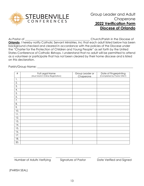

### Group Leader and Adult Chaperone **2022 Verification Form Diocese of Orlando**

As Pastor of \_\_\_\_\_\_\_\_\_\_\_\_\_\_\_\_\_\_\_\_\_\_\_\_\_\_\_\_\_\_\_\_\_\_\_\_\_\_\_\_\_\_\_\_\_\_ Church/Parish in the Diocese of

**Orlando**, I hereby notify Catholic Servant Ministries, Inc that each adult listed below has been background checked and cleared in accordance with the policies of the Diocese under the "Charter for the Protection of Children and Young People" as set forth by the United States Conference of Catholic Bishops. I understand that no adult will be permitted to attend as a volunteer or participate that has not been cleared by their home diocese and is listed on this declaration.

Parish/Group Name:  $\Box$ 

| $\#$ | Full Legal Name<br>(Must Match Online Registration) | Group Leader or<br>Chaperone | Date of Fingerprinting<br>(Completed by Pastor ONLY) |
|------|-----------------------------------------------------|------------------------------|------------------------------------------------------|
| 1.   |                                                     |                              |                                                      |
| 2.   |                                                     |                              |                                                      |
| 3.   |                                                     |                              |                                                      |
| 4.   |                                                     |                              |                                                      |
| 5.   |                                                     |                              |                                                      |
| 6.   |                                                     |                              |                                                      |
| 7.   |                                                     |                              |                                                      |
| 8.   |                                                     |                              |                                                      |
| 9.   |                                                     |                              |                                                      |
| 10.  |                                                     |                              |                                                      |
| 11.  |                                                     |                              |                                                      |
| 12.  |                                                     |                              |                                                      |
| 13.  |                                                     |                              |                                                      |
| 14.  |                                                     |                              |                                                      |
| 15.  |                                                     |                              |                                                      |
| 16.  |                                                     |                              |                                                      |
| 17.  |                                                     |                              |                                                      |
| 18.  |                                                     |                              |                                                      |
| 20.  |                                                     |                              |                                                      |

Number of Adults Verifying Signature of Pastor Date Verified and Signed

 $\frac{1}{2}$  ,  $\frac{1}{2}$  ,  $\frac{1}{2}$  ,  $\frac{1}{2}$  ,  $\frac{1}{2}$  ,  $\frac{1}{2}$  ,  $\frac{1}{2}$  ,  $\frac{1}{2}$  ,  $\frac{1}{2}$  ,  $\frac{1}{2}$  ,  $\frac{1}{2}$  ,  $\frac{1}{2}$  ,  $\frac{1}{2}$  ,  $\frac{1}{2}$  ,  $\frac{1}{2}$  ,  $\frac{1}{2}$  ,  $\frac{1}{2}$  ,  $\frac{1}{2}$  ,  $\frac{1$ 

(PARISH SEAL)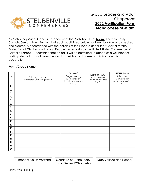

As Archbishop/Vicar General/Chancellor of the Archdiocese of **Miami**, I hereby notify Catholic Servant Ministries, Inc that each adult listed below has been background checked and cleared in accordance with the policies of the Diocese under the "Charter for the Protection of Children and Young People" as set forth by the United States Conference of Catholic Bishops. I understand that no adult will be permitted to attend as a volunteer or participate that has not been cleared by their home diocese and is listed on this declaration.

Parish/Group Name:  $\Box$ 

| $\#$ | Full Legal Name<br>(Must Match Online Registration) | Date of<br>Fingerprinting<br>(Completed by<br>Archdiocesan Office<br>ONLY) | Date of PGC<br>(Completed by<br>Archdiocesan Office<br>ONLY) | <b>VIRTUS Report</b><br>Submitted<br>(Completed by<br>Archdiocesan Office<br>ONLY) |
|------|-----------------------------------------------------|----------------------------------------------------------------------------|--------------------------------------------------------------|------------------------------------------------------------------------------------|
| 1.   |                                                     |                                                                            |                                                              |                                                                                    |
| 2.   |                                                     |                                                                            |                                                              |                                                                                    |
| 3.   |                                                     |                                                                            |                                                              |                                                                                    |
| 4.   |                                                     |                                                                            |                                                              |                                                                                    |
| 5.   |                                                     |                                                                            |                                                              |                                                                                    |
| 6.   |                                                     |                                                                            |                                                              |                                                                                    |
| 7.   |                                                     |                                                                            |                                                              |                                                                                    |
| 8.   |                                                     |                                                                            |                                                              |                                                                                    |
| 9.   |                                                     |                                                                            |                                                              |                                                                                    |
| 10.  |                                                     |                                                                            |                                                              |                                                                                    |
| 11.  |                                                     |                                                                            |                                                              |                                                                                    |
| 12.  |                                                     |                                                                            |                                                              |                                                                                    |
| 13.  |                                                     |                                                                            |                                                              |                                                                                    |
| 14.  |                                                     |                                                                            |                                                              |                                                                                    |
| 15.  |                                                     |                                                                            |                                                              |                                                                                    |
| 16.  |                                                     |                                                                            |                                                              |                                                                                    |
| 17.  |                                                     |                                                                            |                                                              |                                                                                    |
| 18.  |                                                     |                                                                            |                                                              |                                                                                    |
| 20.  |                                                     |                                                                            |                                                              |                                                                                    |

Number of Adults Verifying Signature of Archbishop/ Date Verified and Signed Vicar General/Chancellor

 $\frac{1}{2}$  ,  $\frac{1}{2}$  ,  $\frac{1}{2}$  ,  $\frac{1}{2}$  ,  $\frac{1}{2}$  ,  $\frac{1}{2}$  ,  $\frac{1}{2}$  ,  $\frac{1}{2}$  ,  $\frac{1}{2}$  ,  $\frac{1}{2}$  ,  $\frac{1}{2}$  ,  $\frac{1}{2}$  ,  $\frac{1}{2}$  ,  $\frac{1}{2}$  ,  $\frac{1}{2}$  ,  $\frac{1}{2}$  ,  $\frac{1}{2}$  ,  $\frac{1}{2}$  ,  $\frac{1$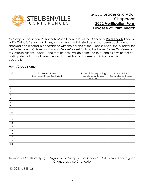

As Bishop/Vicar General/Chancellor/Vice Chancellor of the Diocese of **Palm Beach**, I hereby notify Catholic Servant Ministries, Inc that each adult listed below has been background checked and cleared in accordance with the policies of the Diocese under the "Charter for the Protection of Children and Young People" as set forth by the United States Conference of Catholic Bishops. I understand that no adult will be permitted to attend as a volunteer or participate that has not been cleared by their home diocese and is listed on this declaration.

Parish/Group Name:  $\Box$ 

| $\#$             | Full Legal Name<br>(Must Match Online Registration) | Date of Fingerprinting<br>(Completed by Diocesan<br>Office ONLY) | Date of PGC<br>(Completed by Diocesan<br>Office ONLY) |
|------------------|-----------------------------------------------------|------------------------------------------------------------------|-------------------------------------------------------|
| 1.               |                                                     |                                                                  |                                                       |
| 2.               |                                                     |                                                                  |                                                       |
| $\overline{3}$ . |                                                     |                                                                  |                                                       |
| 4.               |                                                     |                                                                  |                                                       |
| 5.               |                                                     |                                                                  |                                                       |
| 6.               |                                                     |                                                                  |                                                       |
| 7.               |                                                     |                                                                  |                                                       |
| 8.               |                                                     |                                                                  |                                                       |
| 9.               |                                                     |                                                                  |                                                       |
| 10.              |                                                     |                                                                  |                                                       |
| 11.              |                                                     |                                                                  |                                                       |
| 12.              |                                                     |                                                                  |                                                       |
| 13.              |                                                     |                                                                  |                                                       |
| 14.              |                                                     |                                                                  |                                                       |
| 15.              |                                                     |                                                                  |                                                       |
| 16.              |                                                     |                                                                  |                                                       |
| 17.              |                                                     |                                                                  |                                                       |
| 18.              |                                                     |                                                                  |                                                       |
| 20.              |                                                     |                                                                  |                                                       |

Number of Adults Verifying Signature of Bishop/Vicar General/ Date Verified and Signed Chancellor/Vice Chancellor

\_\_\_\_\_\_\_\_\_\_\_\_\_\_\_\_\_\_\_\_\_\_\_\_\_\_\_ \_\_\_\_\_\_\_\_\_\_\_\_\_\_\_\_\_\_\_\_\_\_\_\_\_\_\_\_\_\_ \_\_\_\_\_\_\_\_\_\_\_\_\_\_\_\_\_\_\_\_\_\_\_\_\_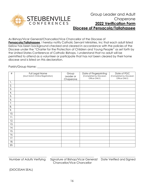

As Bishop/Vicar General/Chancellor/Vice Chancellor of the Diocese of Pensacola/Tallahassee, I hereby notify Catholic Servant Ministries, Inc that each adult listed below has been background checked and cleared in accordance with the policies of the Diocese under the "Charter for the Protection of Children and Young People" as set forth by the United States Conference of Catholic Bishops. I understand that no adult will be permitted to attend as a volunteer or participate that has not been cleared by their home diocese and is listed on this declaration.

Parish/Group Name:  $\blacksquare$ 

| $\#$ | Full Legal Name<br>(Must Match Online Registration) | Group<br>Leader or<br>Chaperone | Date of Fingerprinting<br>(Completed by Diocesan<br>Office ONLY) | Date of PGC<br>(Completed by Diocesan<br>Office ONLY) |
|------|-----------------------------------------------------|---------------------------------|------------------------------------------------------------------|-------------------------------------------------------|
| 1.   |                                                     |                                 |                                                                  |                                                       |
| 2.   |                                                     |                                 |                                                                  |                                                       |
| 3.   |                                                     |                                 |                                                                  |                                                       |
| 4.   |                                                     |                                 |                                                                  |                                                       |
| 5.   |                                                     |                                 |                                                                  |                                                       |
| 6.   |                                                     |                                 |                                                                  |                                                       |
| 7.   |                                                     |                                 |                                                                  |                                                       |
| 8.   |                                                     |                                 |                                                                  |                                                       |
| 9.   |                                                     |                                 |                                                                  |                                                       |
| 10.  |                                                     |                                 |                                                                  |                                                       |
| 11.  |                                                     |                                 |                                                                  |                                                       |
| 12.  |                                                     |                                 |                                                                  |                                                       |
| 13.  |                                                     |                                 |                                                                  |                                                       |
| 14.  |                                                     |                                 |                                                                  |                                                       |
| 15.  |                                                     |                                 |                                                                  |                                                       |
| 16.  |                                                     |                                 |                                                                  |                                                       |
| 17.  |                                                     |                                 |                                                                  |                                                       |
| 18.  |                                                     |                                 |                                                                  |                                                       |
| 20.  |                                                     |                                 |                                                                  |                                                       |

\_\_\_\_\_\_\_\_\_\_\_\_\_\_\_\_\_\_\_\_\_\_\_\_\_\_\_ \_\_\_\_\_\_\_\_\_\_\_\_\_\_\_\_\_\_\_\_\_\_\_\_\_\_\_\_\_\_ \_\_\_\_\_\_\_\_\_\_\_\_\_\_\_\_\_\_\_\_\_\_\_\_\_ Number of Adults Verifying Signature of Bishop/Vicar General/ Date Verified and Signed Chancellor/Vice Chancellor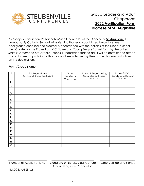

As Bishop/Vicar General/Chancellor/Vice Chancellor of the Diocese of **St. Augustine**, I hereby notify Catholic Servant Ministries, Inc that each adult listed below has been background checked and cleared in accordance with the policies of the Diocese under the "Charter for the Protection of Children and Young People" as set forth by the United States Conference of Catholic Bishops. I understand that no adult will be permitted to attend as a volunteer or participate that has not been cleared by their home diocese and is listed on this declaration.

Parish/Group Name:

| $\#$ | Full Legal Name<br>(Must Match Online Registration) | Group<br>Leader or<br>Chaperone | Date of Fingerprinting<br>(Completed by Diocesan<br>Office ONLY) | Date of PGC<br>(Completed by Diocesan<br>Office ONLY) |
|------|-----------------------------------------------------|---------------------------------|------------------------------------------------------------------|-------------------------------------------------------|
| 1.   |                                                     |                                 |                                                                  |                                                       |
| 2.   |                                                     |                                 |                                                                  |                                                       |
| 3.   |                                                     |                                 |                                                                  |                                                       |
| 4.   |                                                     |                                 |                                                                  |                                                       |
| 5.   |                                                     |                                 |                                                                  |                                                       |
| 6.   |                                                     |                                 |                                                                  |                                                       |
| 7.   |                                                     |                                 |                                                                  |                                                       |
| 8.   |                                                     |                                 |                                                                  |                                                       |
| 9.   |                                                     |                                 |                                                                  |                                                       |
| 10.  |                                                     |                                 |                                                                  |                                                       |
| 11.  |                                                     |                                 |                                                                  |                                                       |
| 12.  |                                                     |                                 |                                                                  |                                                       |
| 13.  |                                                     |                                 |                                                                  |                                                       |
| 14.  |                                                     |                                 |                                                                  |                                                       |
| 15.  |                                                     |                                 |                                                                  |                                                       |
| 16.  |                                                     |                                 |                                                                  |                                                       |
| 17.  |                                                     |                                 |                                                                  |                                                       |
| 18.  |                                                     |                                 |                                                                  |                                                       |
| 20.  |                                                     |                                 |                                                                  |                                                       |

Number of Adults Verifying Signature of Bishop/Vicar General/ Date Verified and Signed Chancellor/Vice Chancellor

\_\_\_\_\_\_\_\_\_\_\_\_\_\_\_\_\_\_\_\_\_\_\_\_\_\_\_ \_\_\_\_\_\_\_\_\_\_\_\_\_\_\_\_\_\_\_\_\_\_\_\_\_\_\_\_\_\_ \_\_\_\_\_\_\_\_\_\_\_\_\_\_\_\_\_\_\_\_\_\_\_\_\_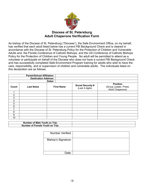

### **Diocese of St. Petersburg Adult Chaperone Verification Form**

As bishop of the Diocese of St. Petersburg ("Diocese"), the Safe Environment Office, on my behalf, has verified that each adult listed below has a current FBI Background Check and is cleared in accordance with the Diocese of St. Petersburg Policy for the Protection of Children and Vulnerable Adults and, the Florida Conference of Catholic Bishops, and the US Conference of Catholic Bishops Policy for the Protection of Children and Young People. No adult will be permitted to attend as a volunteer or participate on behalf of the Diocese who does not have a current FBI Background Check and has successfully completed Safe Environment Program training for adults who wish to have the care, responsibility, and or supervision of children and vulnerable adults. The individuals listed on this declaration are as follows:

|                | <b>Parish/School Affiliation:</b> |                   |                                             |                                                               |
|----------------|-----------------------------------|-------------------|---------------------------------------------|---------------------------------------------------------------|
|                | <b>Destination Address:</b>       |                   |                                             |                                                               |
|                |                                   | Dates:            |                                             |                                                               |
| Count          | <b>Last Name</b>                  | <b>First Name</b> | <b>Social Security #</b><br>(Last 4 digits) | <b>Position</b><br>(Group Leader, Priest,<br>Adult Chaperone) |
|                |                                   |                   |                                             |                                                               |
| $\overline{2}$ |                                   |                   |                                             |                                                               |
| 3              |                                   |                   |                                             |                                                               |
| 4              |                                   |                   |                                             |                                                               |
| 5              |                                   |                   |                                             |                                                               |
| 6              |                                   |                   |                                             |                                                               |
| 7              |                                   |                   |                                             |                                                               |
| 8              |                                   |                   |                                             |                                                               |
| 9              |                                   |                   |                                             |                                                               |
| 10             |                                   |                   |                                             |                                                               |
|                |                                   |                   |                                             |                                                               |

| <b>Number of Male</b><br>: Youth on Trip: |  |
|-------------------------------------------|--|
| Trip:<br><b>Number of Female Youth on</b> |  |

| <b>Number Verified:</b>    |  |
|----------------------------|--|
| <b>Bishop's Signature:</b> |  |
| Jate:                      |  |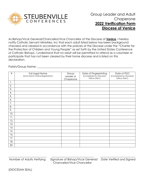

### Group Leader and Adult Chaperone **2022 Verification Form Diocese of Venice**

As Bishop/Vicar General/Chancellor/Vice Chancellor of the Diocese of **Venice**, I hereby notify Catholic Servant Ministries, Inc that each adult listed below has been background checked and cleared in accordance with the policies of the Diocese under the "Charter for the Protection of Children and Young People" as set forth by the United States Conference of Catholic Bishops. I understand that no adult will be permitted to attend as a volunteer or participate that has not been cleared by their home diocese and is listed on this declaration.

Parish/Group Name:  $\Box$ 

| $\#$ | Full Legal Name<br>(Must Match Online Registration) | Group<br>Leader or<br>Chaperone | Date of Fingerprinting<br>(Completed by Diocesan<br>Office ONLY) | Date of PGC<br>(Completed by Diocesan<br>Office ONLY) |
|------|-----------------------------------------------------|---------------------------------|------------------------------------------------------------------|-------------------------------------------------------|
| 1.   |                                                     |                                 |                                                                  |                                                       |
| 2.   |                                                     |                                 |                                                                  |                                                       |
| 3.   |                                                     |                                 |                                                                  |                                                       |
| 4.   |                                                     |                                 |                                                                  |                                                       |
| 5.   |                                                     |                                 |                                                                  |                                                       |
| 6.   |                                                     |                                 |                                                                  |                                                       |
| 7.   |                                                     |                                 |                                                                  |                                                       |
| 8.   |                                                     |                                 |                                                                  |                                                       |
| 9.   |                                                     |                                 |                                                                  |                                                       |
| 10.  |                                                     |                                 |                                                                  |                                                       |
| 11.  |                                                     |                                 |                                                                  |                                                       |
| 12.  |                                                     |                                 |                                                                  |                                                       |
| 13.  |                                                     |                                 |                                                                  |                                                       |
| 14.  |                                                     |                                 |                                                                  |                                                       |
| 15.  |                                                     |                                 |                                                                  |                                                       |
| 16.  |                                                     |                                 |                                                                  |                                                       |
| 17.  |                                                     |                                 |                                                                  |                                                       |
| 18.  |                                                     |                                 |                                                                  |                                                       |
| 20.  |                                                     |                                 |                                                                  |                                                       |

Number of Adults Verifying Signature of Bishop/Vicar General/ Date Verified and Signed Chancellor/Vice Chancellor

\_\_\_\_\_\_\_\_\_\_\_\_\_\_\_\_\_\_\_\_\_\_\_\_\_\_\_ \_\_\_\_\_\_\_\_\_\_\_\_\_\_\_\_\_\_\_\_\_\_\_\_\_\_\_\_\_\_ \_\_\_\_\_\_\_\_\_\_\_\_\_\_\_\_\_\_\_\_\_\_\_\_\_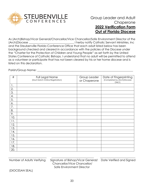

As (Arch)Bishop/Vicar General/Chancellor/Vice Chancellor/Safe Environment Director of the (Arch)Diocese \_\_\_\_\_\_\_\_\_\_\_\_\_\_\_\_\_\_\_\_\_\_\_\_\_\_\_\_\_\_\_\_ I herby notify Catholic Servant Ministries, Inc and the Steubenville Florida Conference Office that each adult listed below has been background checked and cleared in accordance with the policies of the Diocese under the "Charter for the Protection of Children and Young People" as set forth by the United States Conference of Catholic Bishops. I understand that no adult will be permitted to attend as a volunteer or participate that has not been cleared by his or her home diocese and is listed on this declaration.

Parish/Group Name: \_\_\_\_\_\_\_\_\_\_\_\_\_\_\_\_\_\_\_\_\_\_\_\_\_\_\_\_\_\_\_\_\_\_\_\_\_\_\_\_\_\_\_\_\_\_\_\_\_\_\_\_\_\_\_\_\_\_\_\_\_\_\_\_\_\_\_\_

| $\#$           | Full Legal Name<br>(Must Match Online Registration) | Group Leader<br>or Chaperone | Date of Fingerprinting<br>(Completed by (Arch)Diocese<br>ONLY) |
|----------------|-----------------------------------------------------|------------------------------|----------------------------------------------------------------|
| $\mathbf{1}$ . |                                                     |                              |                                                                |
| 2.             |                                                     |                              |                                                                |
| 3.             |                                                     |                              |                                                                |
| 4.             |                                                     |                              |                                                                |
| 5.             |                                                     |                              |                                                                |
| 6.             |                                                     |                              |                                                                |
| 7.             |                                                     |                              |                                                                |
| 8.             |                                                     |                              |                                                                |
| 9.             |                                                     |                              |                                                                |
| 10.            |                                                     |                              |                                                                |
| 11.            |                                                     |                              |                                                                |
| 12.            |                                                     |                              |                                                                |
| 13.            |                                                     |                              |                                                                |
| 14.            |                                                     |                              |                                                                |
| 15.            |                                                     |                              |                                                                |
| 16.            |                                                     |                              |                                                                |
| 17.            |                                                     |                              |                                                                |
| 18.            |                                                     |                              |                                                                |
| 20.            |                                                     |                              |                                                                |

\_\_\_\_\_\_\_\_\_\_\_\_\_\_\_\_\_\_\_\_\_\_\_\_\_\_\_ \_\_\_\_\_\_\_\_\_\_\_\_\_\_\_\_\_\_\_\_\_\_\_\_\_\_\_\_\_\_ \_\_\_\_\_\_\_\_\_\_\_\_\_\_\_\_\_\_\_\_\_\_\_\_\_ Number of Adults Verifying Signature of Bishop/Vicar General/ Date Verified and Signed Chancellor/Vice Chancellor/ Safe Environment Director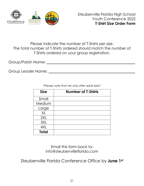

### Please indicate the number of T-Shirts per size. The total number of T-Shirts ordered should match the number of T-Shirts ordered on your group registration.

Group/Parish Name: \_\_\_\_\_\_\_\_\_\_\_\_\_\_\_\_\_\_\_\_\_\_\_\_\_\_\_\_\_\_\_\_\_\_\_\_\_\_\_\_\_\_\_\_\_\_\_

Group Leader Name: \_\_\_\_\_\_\_\_\_\_\_\_\_\_\_\_\_\_\_\_\_\_\_\_\_\_\_\_\_\_\_\_\_\_\_\_\_\_\_\_\_\_\_\_\_\_

| <b>Size</b>  | <b>Number of T-Shirts</b> |
|--------------|---------------------------|
| Small        |                           |
| Medium       |                           |
| Large        |                           |
| XL           |                           |
| 2XL          |                           |
| 3XL          |                           |
| 4XL          |                           |
| <b>Total</b> |                           |

\*Please note that we only offer adult sizes\*

Email this form back to: info@steubenvilleflorida.com

Steubenville Florida Conference Office by **June 1st**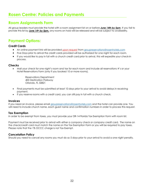### **Rosen Centre: Policies and Payments**

### **Room Assignments Form**

All group leaders must provide the hotel with a room assignment list on or before *June 14th by 5pm*. If you fail to provide this list by *June 14th by 5pm,* any rooms on hold will be released and will be subject to availability.

### **Payment Options:**

#### **Credit Cards**

- An online payment link will be provided *upon request* from groupreservations@rosenhotels.com
- Five Days prior to arrival the credit cards provided will be authorized for one night for each room.
- If you would like to pay in full with a church credit card prior to arrival, this will expedite your check-in process.

#### **Checks**

• Mail your check for one night's room and tax for each room and include all reservations #'s or your Hotel Reservations Form (only if you booked 10 or more rooms).

> Reservations Department 400 Destination Parkway Orlando, FL 32821

- Final payments must be submitted at least 10 days prior to your arrival to avoid delays in receiving payment.
- If you reserve rooms with a credit card, you can still pay in full with a church check.

#### **Invoices**

If you need an invoice, please email groupreservations@rosenhotels.com and the hotel can provide one. You will need to include church name, each guest name and confirmation numbers in order to process this request.

#### **Tax Exemption**

In order to be exempt from taxes, you must provide your DR-14 Florida Tax Exemption Form with room list.

Payment must be received prior to arrival with either a company check or company credit card. The name on the check/credit card must match the name on the Tax Exemption Form or you will be required to pay taxes. Please note that the 1% OCCC charge is not Tax Exempt.

#### **Cancelation Policy**

Should you need to cancel any rooms you must do so 5 days prior to your arrival to avoid a one night penalty.